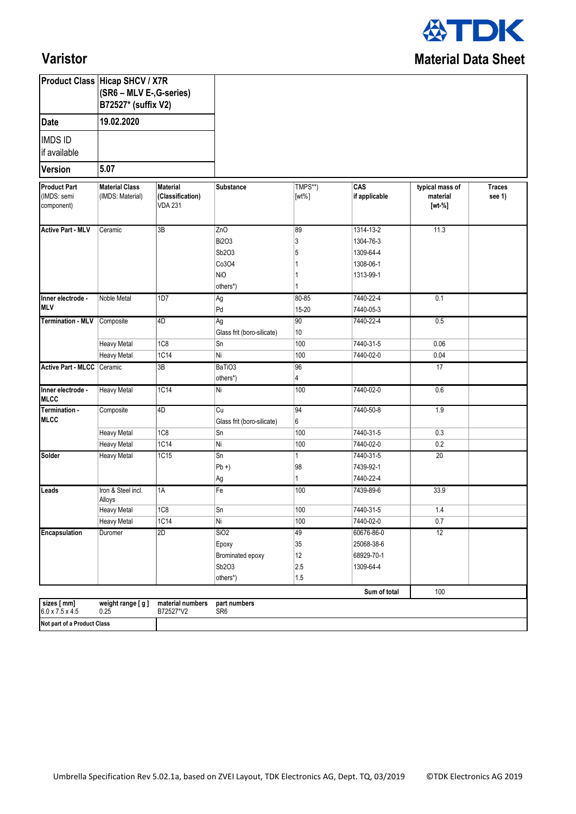

## **Varistor**

|                                                                                       | <b>Product Class Hicap SHCV / X7R</b><br>(SR6 - MLV E-, G-series)<br>B72527* (suffix V2) |                                                |                                  |                     |                                          |                                         |                         |
|---------------------------------------------------------------------------------------|------------------------------------------------------------------------------------------|------------------------------------------------|----------------------------------|---------------------|------------------------------------------|-----------------------------------------|-------------------------|
| 19.02.2020<br><b>Date</b><br><b>IMDS ID</b><br>if available<br>5.07<br><b>Version</b> |                                                                                          |                                                |                                  |                     |                                          |                                         |                         |
|                                                                                       |                                                                                          |                                                |                                  |                     |                                          |                                         |                         |
|                                                                                       |                                                                                          |                                                |                                  |                     |                                          |                                         |                         |
| <b>Product Part</b><br>(IMDS: semi<br>component)                                      | <b>Material Class</b><br>(IMDS: Material)                                                | Material<br>(Classification)<br><b>VDA 231</b> | Substance                        | TMPS**)<br>$[wt\%]$ | $\overline{\text{CAS}}$<br>if applicable | typical mass of<br>material<br>$[wt-%]$ | <b>Traces</b><br>see 1) |
| <b>Active Part - MLV</b>                                                              | Ceramic                                                                                  | 3B                                             | ZnO                              | 89                  | 1314-13-2                                | 11.3                                    |                         |
|                                                                                       |                                                                                          |                                                | <b>Bi2O3</b>                     | 3                   | 1304-76-3                                |                                         |                         |
|                                                                                       |                                                                                          |                                                | Sb2O3                            | 5                   | 1309-64-4                                |                                         |                         |
|                                                                                       |                                                                                          |                                                | Co3O4                            |                     | 1308-06-1                                |                                         |                         |
|                                                                                       |                                                                                          |                                                | <b>NiO</b>                       |                     | 1313-99-1                                |                                         |                         |
|                                                                                       |                                                                                          |                                                | others*)                         |                     |                                          |                                         |                         |
| Inner electrode -<br><b>MLV</b>                                                       | Noble Metal                                                                              | 1D7                                            | Ag                               | 80-85               | 7440-22-4                                | 0.1                                     |                         |
|                                                                                       |                                                                                          |                                                | Pd                               | 15-20               | 7440-05-3                                |                                         |                         |
| Termination - MLV Composite                                                           |                                                                                          | 4D                                             | Ag                               | 90                  | 7440-22-4                                | 0.5                                     |                         |
|                                                                                       |                                                                                          | 1C8                                            | Glass frit (boro-silicate)<br>Sn | 10<br>100           | 7440-31-5                                | 0.06                                    |                         |
|                                                                                       | Heavy Metal<br><b>Heavy Metal</b>                                                        | <b>1C14</b>                                    | Ni                               | 100                 | 7440-02-0                                | 0.04                                    |                         |
| Active Part - MLCC Ceramic                                                            |                                                                                          | 3B                                             | BaTiO3                           | 96                  |                                          | 17                                      |                         |
|                                                                                       |                                                                                          |                                                | others*)                         | 4                   |                                          |                                         |                         |
| Inner electrode -<br><b>MLCC</b>                                                      | <b>Heavy Metal</b>                                                                       | 1C14                                           | Ni                               | 100                 | 7440-02-0                                | 0.6                                     |                         |
| Termination -<br><b>MLCC</b>                                                          | Composite                                                                                | 4D                                             | Cu<br>Glass frit (boro-silicate) | 94<br>6             | 7440-50-8                                | 1.9                                     |                         |
|                                                                                       | <b>Heavy Metal</b>                                                                       | 1C8                                            | Sn                               | 100                 | 7440-31-5                                | 0.3                                     |                         |
|                                                                                       | <b>Heavy Metal</b>                                                                       | 1C14                                           | Ni.                              | 100                 | 7440-02-0                                | 0.2                                     |                         |
| Solder                                                                                | <b>Heavy Metal</b>                                                                       | 1C15                                           | Sn                               | $\vert$ 1           | 7440-31-5                                | 20                                      |                         |
|                                                                                       |                                                                                          |                                                | $Pb +$                           | 98                  | 7439-92-1                                |                                         |                         |
|                                                                                       |                                                                                          |                                                | Ag                               | 1                   | 7440-22-4                                |                                         |                         |
| Leads                                                                                 | Iron & Steel incl.<br>Alloys                                                             | 1A                                             | Fe                               | 100                 | 7439-89-6                                | 33.9                                    |                         |
|                                                                                       | <b>Heavy Metal</b>                                                                       | 1C8                                            | Sn                               | 100                 | 7440-31-5                                | 1.4                                     |                         |
|                                                                                       | <b>Heavy Metal</b>                                                                       | 1C14                                           | Ni                               | 100                 | 7440-02-0                                | 0.7                                     |                         |
| <b>Encapsulation</b>                                                                  | Duromer                                                                                  | 2D                                             | SiO2                             | 49                  | 60676-86-0                               | 12                                      |                         |
|                                                                                       |                                                                                          |                                                | Epoxy                            | 35                  | 25068-38-6                               |                                         |                         |
|                                                                                       |                                                                                          |                                                | Brominated epoxy                 | 12                  | 68929-70-1                               |                                         |                         |
|                                                                                       |                                                                                          |                                                | Sb2O3                            | 2.5                 | 1309-64-4                                |                                         |                         |
|                                                                                       |                                                                                          |                                                | others*)                         | 1.5                 |                                          |                                         |                         |
|                                                                                       |                                                                                          |                                                |                                  |                     | Sum of total                             | 100                                     |                         |
| sizes [ mm]<br>$6.0 \times 7.5 \times 4.5$<br>Not part of a Product Class             | weight range [g]<br>0.25                                                                 | material numbers<br>B72527*V2                  | part numbers<br>SR <sub>6</sub>  |                     |                                          |                                         |                         |